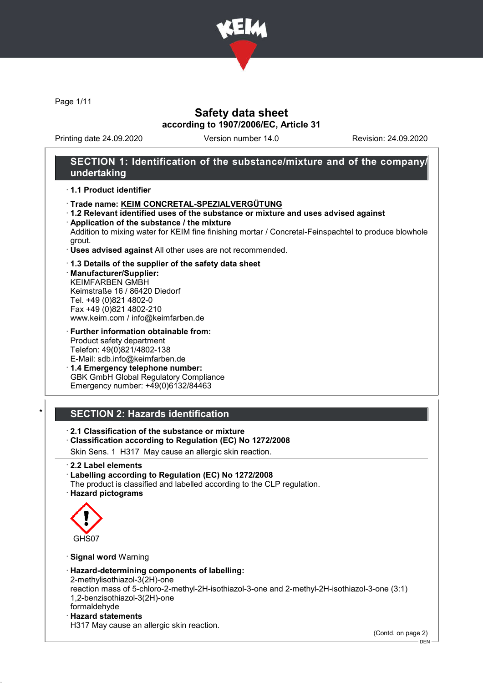

Page 1/11

# Safety data sheet according to 1907/2006/EC, Article 31

Printing date 24.09.2020 Version number 14.0 Revision: 24.09.2020

# SECTION 1: Identification of the substance/mixture and of the company/ undertaking

#### · 1.1 Product identifier

- · Trade name: KEIM CONCRETAL-SPEZIALVERGÜTUNG
- · 1.2 Relevant identified uses of the substance or mixture and uses advised against · Application of the substance / the mixture

Addition to mixing water for KEIM fine finishing mortar / Concretal-Feinspachtel to produce blowhole grout.

- · Uses advised against All other uses are not recommended.
- · 1.3 Details of the supplier of the safety data sheet

· Manufacturer/Supplier: KEIMFARBEN GMBH Keimstraße 16 / 86420 Diedorf Tel. +49 (0)821 4802-0 Fax +49 (0)821 4802-210 www.keim.com / info@keimfarben.de

· Further information obtainable from: Product safety department Telefon: 49(0)821/4802-138 E-Mail: sdb.info@keimfarben.de

· 1.4 Emergency telephone number: GBK GmbH Global Regulatory Compliance Emergency number: +49(0)6132/84463

# **SECTION 2: Hazards identification**

· 2.1 Classification of the substance or mixture

· Classification according to Regulation (EC) No 1272/2008

Skin Sens. 1 H317 May cause an allergic skin reaction.

- · 2.2 Label elements
- · Labelling according to Regulation (EC) No 1272/2008
- The product is classified and labelled according to the CLP regulation.
- · Hazard pictograms



· Signal word Warning

· Hazard-determining components of labelling:

2-methylisothiazol-3(2H)-one reaction mass of 5-chloro-2-methyl-2H-isothiazol-3-one and 2-methyl-2H-isothiazol-3-one (3:1) 1,2-benzisothiazol-3(2H)-one

formaldehyde · Hazard statements

H317 May cause an allergic skin reaction.

(Contd. on page 2)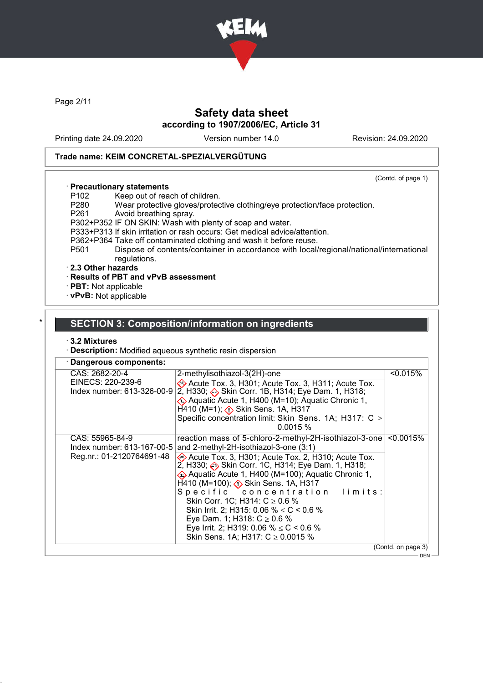

Page 2/11

# Safety data sheet according to 1907/2006/EC, Article 31

Printing date 24.09.2020 Version number 14.0 Revision: 24.09.2020

(Contd. of page 1)

#### Trade name: KEIM CONCRETAL-SPEZIALVERGÜTUNG

# · Precautionary statements

- P102 Keep out of reach of children.<br>P280 Wear protective gloves/proted
- P280 Wear protective gloves/protective clothing/eye protection/face protection.<br>P261 Avoid breathing spray.
- Avoid breathing spray.
- P302+P352 IF ON SKIN: Wash with plenty of soap and water.
- P333+P313 If skin irritation or rash occurs: Get medical advice/attention.
- P362+P364 Take off contaminated clothing and wash it before reuse.<br>P501 Dispose of contents/container in accordance with local/
	- Dispose of contents/container in accordance with local/regional/national/international regulations.

#### · 2.3 Other hazards

- · Results of PBT and vPvB assessment
- · PBT: Not applicable
- · vPvB: Not applicable

### SECTION 3: Composition/information on ingredients

#### · 3.2 Mixtures

· Description: Modified aqueous synthetic resin dispersion

| CAS: 2682-20-4                                                             | 2-methylisothiazol-3(2H)-one                                                                                                                                                                                                                                                                                                                                                                                                                                                                                                                                                      | < 0.015%     |
|----------------------------------------------------------------------------|-----------------------------------------------------------------------------------------------------------------------------------------------------------------------------------------------------------------------------------------------------------------------------------------------------------------------------------------------------------------------------------------------------------------------------------------------------------------------------------------------------------------------------------------------------------------------------------|--------------|
| EINECS: 220-239-6<br>Index number: 613-326-00-9                            | Acute Tox. 3, H301; Acute Tox. 3, H311; Acute Tox.<br>2, H330; $\leftrightarrow$ Skin Corr. 1B, H314; Eye Dam. 1, H318;<br>EXA Aquatic Acute 1, H400 (M=10); Aquatic Chronic 1,<br>$H$ 410 (M=1); $\Diamond$ Skin Sens. 1A, H317<br>Specific concentration limit: Skin Sens. 1A; H317: C ≥<br>0.0015%                                                                                                                                                                                                                                                                             |              |
| CAS: 55965-84-9<br>Index number: 613-167-00-5<br>Reg.nr.: 01-2120764691-48 | reaction mass of 5-chloro-2-methyl-2H-isothiazol-3-one<br>and 2-methyl-2H-isothiazol-3-one (3:1)<br>Acute Tox. 3, H301; Acute Tox. 2, H310; Acute Tox.<br>2, H330; Skin Corr. 1C, H314; Eye Dam. 1, H318;<br>Aquatic Acute 1, H400 (M=100); Aquatic Chronic 1,<br>$H$ 410 (M=100); $\langle \cdot \rangle$ Skin Sens. 1A, H317<br>Specific concentration limits:<br>Skin Corr. 1C; H314: $C \ge 0.6$ %<br>Skin Irrit. 2; H315: 0.06 % $\leq$ C < 0.6 %<br>Eye Dam. 1; H318: $C \ge 0.6$ %<br>Eye Irrit. 2; H319: 0.06 % $\leq$ C < 0.6 %<br>Skin Sens. 1A; H317: $C \ge 0.0015$ % | $< 0.0015\%$ |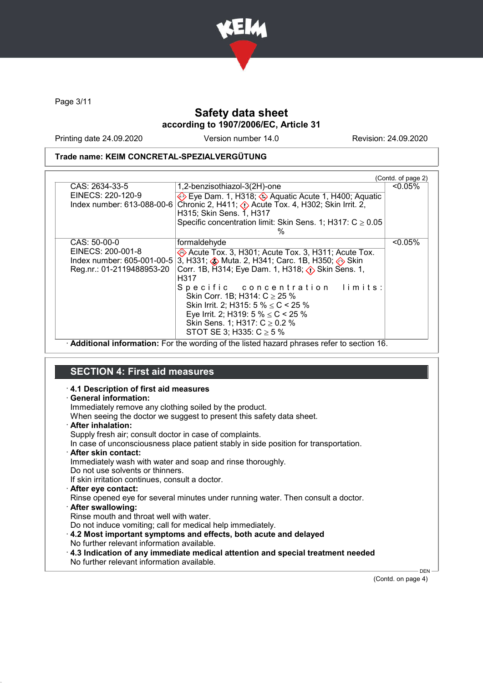

Page 3/11

# Safety data sheet according to 1907/2006/EC, Article 31

Printing date 24.09.2020 Version number 14.0 Revision: 24.09.2020

### Trade name: KEIM CONCRETAL-SPEZIALVERGÜTUNG

|                           |                                                                                                     | (Contd. of page 2) |
|---------------------------|-----------------------------------------------------------------------------------------------------|--------------------|
| CAS: 2634-33-5            | 1,2-benzisothiazol-3(2H)-one                                                                        | $< 0.05\%$         |
| EINECS: 220-120-9         | Eye Dam. 1, H318; $\circledast$ Aquatic Acute 1, H400; Aquatic                                      |                    |
|                           | Index number: 613-088-00-6 Chronic 2, H411; $\Diamond$ Acute Tox. 4, H302; Skin Irrit. 2,           |                    |
|                           | H315; Skin Sens. 1, H317                                                                            |                    |
|                           | Specific concentration limit: Skin Sens. 1; H317: $C \ge 0.05$                                      |                    |
|                           | $\%$                                                                                                |                    |
| CAS: 50-00-0              | formaldehyde                                                                                        | $< 0.05\%$         |
| EINECS: 200-001-8         | Acute Tox. 3, H301; Acute Tox. 3, H311; Acute Tox.                                                  |                    |
|                           | Index number: 605-001-00-5 3, H331; $\clubsuit$ Muta. 2, H341; Carc. 1B, H350; $\spadesuit\sp$ Skin |                    |
| Reg.nr.: 01-2119488953-20 | Corr. 1B, H314; Eye Dam. 1, H318; $\langle \cdot \rangle$ Skin Sens. 1,                             |                    |
|                           | H317                                                                                                |                    |
|                           | Specific concentration limits:                                                                      |                    |
|                           | Skin Corr. 1B; H314: $C \ge 25$ %                                                                   |                    |
|                           | Skin Irrit. 2; H315: 5 % $\leq$ C < 25 %                                                            |                    |
|                           | Eye Irrit. 2; H319: 5 % $\leq$ C < 25 %                                                             |                    |
|                           | Skin Sens. 1; H317: $C \ge 0.2$ %                                                                   |                    |
|                           | STOT SE 3; H335: $C \ge 5$ %                                                                        |                    |

· Additional information: For the wording of the listed hazard phrases refer to section 16.

# SECTION 4: First aid measures

| 4.1 Description of first aid measures<br>· General information:<br>Immediately remove any clothing soiled by the product.<br>When seeing the doctor we suggest to present this safety data sheet.<br>· After inhalation:<br>Supply fresh air; consult doctor in case of complaints. |         |
|-------------------------------------------------------------------------------------------------------------------------------------------------------------------------------------------------------------------------------------------------------------------------------------|---------|
| In case of unconsciousness place patient stably in side position for transportation.                                                                                                                                                                                                |         |
| · After skin contact:                                                                                                                                                                                                                                                               |         |
| Immediately wash with water and soap and rinse thoroughly.                                                                                                                                                                                                                          |         |
| Do not use solvents or thinners.                                                                                                                                                                                                                                                    |         |
| If skin irritation continues, consult a doctor.                                                                                                                                                                                                                                     |         |
| · After eye contact:                                                                                                                                                                                                                                                                |         |
| Rinse opened eye for several minutes under running water. Then consult a doctor.                                                                                                                                                                                                    |         |
| · After swallowing:                                                                                                                                                                                                                                                                 |         |
| Rinse mouth and throat well with water.                                                                                                                                                                                                                                             |         |
| Do not induce vomiting; call for medical help immediately.                                                                                                                                                                                                                          |         |
| 4.2 Most important symptoms and effects, both acute and delayed                                                                                                                                                                                                                     |         |
| No further relevant information available.                                                                                                                                                                                                                                          |         |
|                                                                                                                                                                                                                                                                                     |         |
| $\cdot$ 4.3 Indication of any immediate medical attention and special treatment needed                                                                                                                                                                                              |         |
| No further relevant information available.                                                                                                                                                                                                                                          |         |
|                                                                                                                                                                                                                                                                                     | DEN $-$ |

(Contd. on page 4)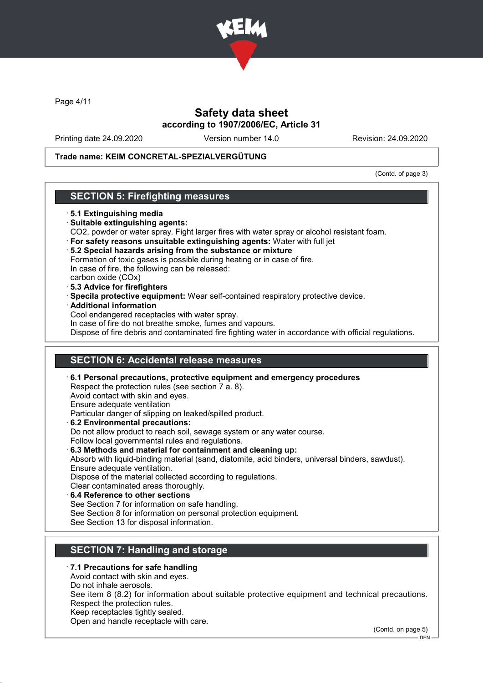

Page 4/11

# Safety data sheet according to 1907/2006/EC, Article 31

Printing date 24.09.2020 Version number 14.0 Revision: 24.09.2020

#### Trade name: KEIM CONCRETAL-SPEZIALVERGÜTUNG

(Contd. of page 3)

### SECTION 5: Firefighting measures

#### · 5.1 Extinguishing media

- · Suitable extinguishing agents:
- CO2, powder or water spray. Fight larger fires with water spray or alcohol resistant foam.
- · For safety reasons unsuitable extinguishing agents: Water with full jet
- · 5.2 Special hazards arising from the substance or mixture
- Formation of toxic gases is possible during heating or in case of fire. In case of fire, the following can be released:
- carbon oxide (COx)
- · 5.3 Advice for firefighters
- · Specila protective equipment: Wear self-contained respiratory protective device.
- · Additional information
- Cool endangered receptacles with water spray.
- In case of fire do not breathe smoke, fumes and vapours.
- Dispose of fire debris and contaminated fire fighting water in accordance with official regulations.

### SECTION 6: Accidental release measures

· 6.1 Personal precautions, protective equipment and emergency procedures Respect the protection rules (see section 7 a. 8). Avoid contact with skin and eyes. Ensure adequate ventilation Particular danger of slipping on leaked/spilled product. · 6.2 Environmental precautions: Do not allow product to reach soil, sewage system or any water course. Follow local governmental rules and regulations. · 6.3 Methods and material for containment and cleaning up: Absorb with liquid-binding material (sand, diatomite, acid binders, universal binders, sawdust). Ensure adequate ventilation. Dispose of the material collected according to regulations. Clear contaminated areas thoroughly. 6.4 Reference to other sections See Section 7 for information on safe handling. See Section 8 for information on personal protection equipment. See Section 13 for disposal information.

# **SECTION 7: Handling and storage**

### · 7.1 Precautions for safe handling

- Avoid contact with skin and eyes.
- Do not inhale aerosols.
- See item 8 (8.2) for information about suitable protective equipment and technical precautions. Respect the protection rules.
- Keep receptacles tightly sealed.
- Open and handle receptacle with care.

(Contd. on page 5)

 $-DEN$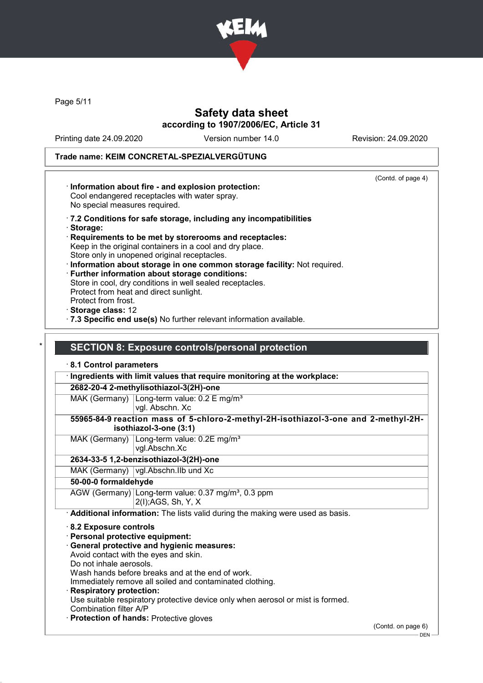

Page 5/11

# Safety data sheet according to 1907/2006/EC, Article 31

Printing date 24.09.2020 Version number 14.0 Revision: 24.09.2020

# Trade name: KEIM CONCRETAL-SPEZIALVERGÜTUNG

| (Contd. of page 4)<br>· Information about fire - and explosion protection:<br>Cool endangered receptacles with water spray.<br>No special measures required.                                                                                                                                                                                                                                                                                                                                                                                                                                                  |
|---------------------------------------------------------------------------------------------------------------------------------------------------------------------------------------------------------------------------------------------------------------------------------------------------------------------------------------------------------------------------------------------------------------------------------------------------------------------------------------------------------------------------------------------------------------------------------------------------------------|
| .7.2 Conditions for safe storage, including any incompatibilities<br>· Storage:<br>Requirements to be met by storerooms and receptacles:<br>Keep in the original containers in a cool and dry place.<br>Store only in unopened original receptacles.<br>· Information about storage in one common storage facility: Not required.<br>· Further information about storage conditions:<br>Store in cool, dry conditions in well sealed receptacles.<br>Protect from heat and direct sunlight.<br>Protect from frost.<br>Storage class: 12<br>7.3 Specific end use(s) No further relevant information available. |
| <b>SECTION 8: Exposure controls/personal protection</b><br>8.1 Control parameters                                                                                                                                                                                                                                                                                                                                                                                                                                                                                                                             |
| Ingredients with limit values that require monitoring at the workplace:                                                                                                                                                                                                                                                                                                                                                                                                                                                                                                                                       |
| 2682-20-4 2-methylisothiazol-3(2H)-one                                                                                                                                                                                                                                                                                                                                                                                                                                                                                                                                                                        |
| MAK (Germany) $\lfloor$ Long-term value: 0.2 E mg/m <sup>3</sup><br>vgl. Abschn. Xc                                                                                                                                                                                                                                                                                                                                                                                                                                                                                                                           |
| 55965-84-9 reaction mass of 5-chloro-2-methyl-2H-isothiazol-3-one and 2-methyl-2H-<br>isothiazol-3-one (3:1)                                                                                                                                                                                                                                                                                                                                                                                                                                                                                                  |
| MAK (Germany)<br>Long-term value: 0.2E mg/m <sup>3</sup><br>vgl.Abschn.Xc                                                                                                                                                                                                                                                                                                                                                                                                                                                                                                                                     |
| 2634-33-5 1,2-benzisothiazol-3(2H)-one                                                                                                                                                                                                                                                                                                                                                                                                                                                                                                                                                                        |
| MAK (Germany) vgl.Abschn.IIb und Xc                                                                                                                                                                                                                                                                                                                                                                                                                                                                                                                                                                           |
| 50-00-0 formaldehyde                                                                                                                                                                                                                                                                                                                                                                                                                                                                                                                                                                                          |
| AGW (Germany) Long-term value: 0.37 mg/m <sup>3</sup> , 0.3 ppm<br>2(I); AGS, Sh, Y, X                                                                                                                                                                                                                                                                                                                                                                                                                                                                                                                        |
| · Additional information: The lists valid during the making were used as basis.                                                                                                                                                                                                                                                                                                                                                                                                                                                                                                                               |
| 8.2 Exposure controls<br>· Personal protective equipment:<br>General protective and hygienic measures:<br>Avoid contact with the eyes and skin.<br>Do not inhale aerosols.<br>Wash hands before breaks and at the end of work.<br>Immediately remove all soiled and contaminated clothing.                                                                                                                                                                                                                                                                                                                    |
| · Respiratory protection:<br>Use suitable respiratory protective device only when aerosol or mist is formed.<br>Combination filter A/P<br><b>Protection of hands: Protective gloves</b>                                                                                                                                                                                                                                                                                                                                                                                                                       |

(Contd. on page 6)

 $-$  DEN -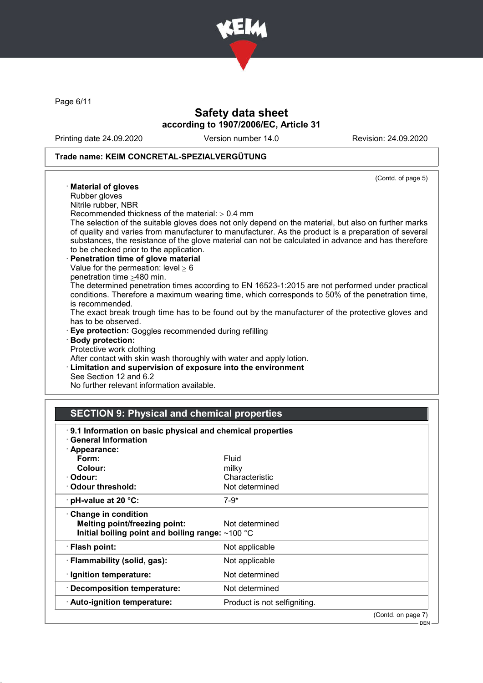

Page 6/11

# Safety data sheet according to 1907/2006/EC, Article 31

Printing date 24.09.2020 Version number 14.0 Revision: 24.09.2020

### Trade name: KEIM CONCRETAL-SPEZIALVERGÜTUNG

| (Contd. of page 5)                                                                                   |
|------------------------------------------------------------------------------------------------------|
| · Material of gloves                                                                                 |
| Rubber gloves                                                                                        |
| Nitrile rubber, NBR                                                                                  |
| Recommended thickness of the material: $\geq 0.4$ mm                                                 |
| The selection of the suitable gloves does not only depend on the material, but also on further marks |
| of quality and varies from manufacturer to manufacturer. As the product is a preparation of several  |
| substances, the resistance of the glove material can not be calculated in advance and has therefore  |
| to be checked prior to the application.                                                              |
| · Penetration time of glove material                                                                 |
| Value for the permeation: level $\geq 6$                                                             |
| penetration time $\geq$ 480 min.                                                                     |
| The determined penetration times according to EN 16523-1:2015 are not performed under practical      |
| conditions. Therefore a maximum wearing time, which corresponds to 50% of the penetration time,      |
| is recommended.                                                                                      |
| The exact break trough time has to be found out by the manufacturer of the protective gloves and     |
| has to be observed.                                                                                  |
| <b>Eye protection:</b> Goggles recommended during refilling                                          |
| · Body protection:                                                                                   |
| Protective work clothing                                                                             |
| After contact with skin wash thoroughly with water and apply lotion.                                 |
| <b>Limitation and supervision of exposure into the environment</b>                                   |
| See Section 12 and 6.2                                                                               |
| No further relevant information available.                                                           |

# SECTION 9: Physical and chemical properties

| 9.1 Information on basic physical and chemical properties<br><b>General Information</b>                         |                              |
|-----------------------------------------------------------------------------------------------------------------|------------------------------|
| · Appearance:                                                                                                   |                              |
| Form:                                                                                                           | Fluid                        |
| Colour:                                                                                                         | milky                        |
| · Odour:                                                                                                        | Characteristic               |
| Odour threshold:                                                                                                | Not determined               |
| $\cdot$ pH-value at 20 °C:                                                                                      | $7-9*$                       |
| Change in condition<br><b>Melting point/freezing point:</b><br>Initial boiling point and boiling range: ~100 °C | Not determined               |
| · Flash point:                                                                                                  | Not applicable               |
| · Flammability (solid, gas):                                                                                    | Not applicable               |
| · Ignition temperature:                                                                                         | Not determined               |
| · Decomposition temperature:                                                                                    | Not determined               |
| · Auto-ignition temperature:                                                                                    | Product is not selfigniting. |
|                                                                                                                 | (Contd. on page 7)           |
|                                                                                                                 | $DEN -$                      |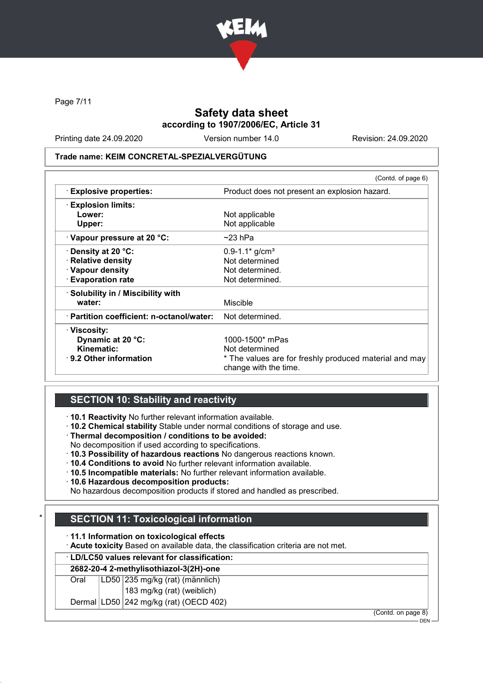

Page 7/11

# Safety data sheet according to 1907/2006/EC, Article 31

Printing date 24.09.2020 Version number 14.0 Revision: 24.09.2020

#### Trade name: KEIM CONCRETAL-SPEZIALVERGÜTUNG

|                                           | (Contd. of page 6)                                                              |
|-------------------------------------------|---------------------------------------------------------------------------------|
| $\cdot$ Explosive properties:             | Product does not present an explosion hazard.                                   |
| <b>Explosion limits:</b>                  |                                                                                 |
| Lower:                                    | Not applicable                                                                  |
| Upper:                                    | Not applicable                                                                  |
| · Vapour pressure at 20 °C:               | $\sim$ 23 hPa                                                                   |
| $\cdot$ Density at 20 °C:                 | $0.9 - 1.1*$ g/cm <sup>3</sup>                                                  |
| · Relative density                        | Not determined                                                                  |
| · Vapour density                          | Not determined.                                                                 |
| · Evaporation rate                        | Not determined.                                                                 |
| · Solubility in / Miscibility with        |                                                                                 |
| water:                                    | <b>Miscible</b>                                                                 |
| · Partition coefficient: n-octanol/water: | Not determined.                                                                 |
| · Viscosity:                              |                                                                                 |
| Dynamic at 20 °C:                         | 1000-1500* mPas                                                                 |
| Kinematic:                                | Not determined                                                                  |
| $\cdot$ 9.2 Other information             | * The values are for freshly produced material and may<br>change with the time. |

### SECTION 10: Stability and reactivity

· 10.1 Reactivity No further relevant information available.

· 10.2 Chemical stability Stable under normal conditions of storage and use.

· Thermal decomposition / conditions to be avoided:

- No decomposition if used according to specifications.
- · 10.3 Possibility of hazardous reactions No dangerous reactions known.
- · 10.4 Conditions to avoid No further relevant information available.
- · 10.5 Incompatible materials: No further relevant information available.
- · 10.6 Hazardous decomposition products:

No hazardous decomposition products if stored and handled as prescribed.

# **SECTION 11: Toxicological information**

· 11.1 Information on toxicological effects

· Acute toxicity Based on available data, the classification criteria are not met.

#### · LD/LC50 values relevant for classification:

# 2682-20-4 2-methylisothiazol-3(2H)-one

Oral LD50 235 mg/kg (rat) (männlich)

183 mg/kg (rat) (weiblich)

#### Dermal LD50 242 mg/kg (rat) (OECD 402)

(Contd. on page 8)

 $-$  DEN  $-$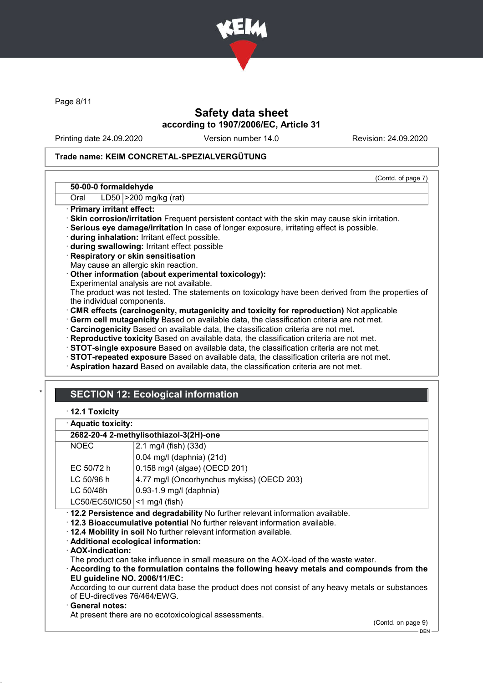

Page 8/11

# Safety data sheet according to 1907/2006/EC, Article 31

Printing date 24.09.2020 Version number 14.0 Revision: 24.09.2020

(Contd. of page 7)

#### Trade name: KEIM CONCRETAL-SPEZIALVERGÜTUNG

#### 50-00-0 formaldehyde

Oral | LD50 | > 200 mg/kg (rat)

- · Primary irritant effect:
- · Skin corrosion/irritation Frequent persistent contact with the skin may cause skin irritation.

· Serious eye damage/irritation In case of longer exposure, irritating effect is possible.

· during inhalation: Irritant effect possible.

· during swallowing: Irritant effect possible

· Respiratory or skin sensitisation

May cause an allergic skin reaction.

- · Other information (about experimental toxicology):
- Experimental analysis are not available.

The product was not tested. The statements on toxicology have been derived from the properties of the individual components.

- · CMR effects (carcinogenity, mutagenicity and toxicity for reproduction) Not applicable
- · Germ cell mutagenicity Based on available data, the classification criteria are not met.
- · Carcinogenicity Based on available data, the classification criteria are not met.
- · Reproductive toxicity Based on available data, the classification criteria are not met.
- · STOT-single exposure Based on available data, the classification criteria are not met.
- · STOT-repeated exposure Based on available data, the classification criteria are not met.
- · Aspiration hazard Based on available data, the classification criteria are not met.

# **SECTION 12: Ecological information**

|  |  | $\cdot$ 12.1 Toxicity |
|--|--|-----------------------|
|--|--|-----------------------|

|  | · Aquatic toxicity: |  |
|--|---------------------|--|
|  |                     |  |

### 2682-20-4 2-methylisothiazol-3(2H)-one

| <b>NOEC</b><br>2.1 mg/l (fish) (33d)                                                                                              |                                                                                 |  |  |
|-----------------------------------------------------------------------------------------------------------------------------------|---------------------------------------------------------------------------------|--|--|
| $0.04$ mg/l (daphnia) (21d)                                                                                                       |                                                                                 |  |  |
| EC 50/72 h                                                                                                                        | 0.158 mg/l (algae) (OECD 201)                                                   |  |  |
| $LC$ 50/96 h                                                                                                                      | 4.77 mg/l (Oncorhynchus mykiss) (OECD 203)                                      |  |  |
| LC 50/48h                                                                                                                         | $0.93 - 1.9$ mg/l (daphnia)                                                     |  |  |
|                                                                                                                                   | $LC50/EC50/IC50$ <1 mg/l (fish)                                                 |  |  |
|                                                                                                                                   | · 12.2 Persistence and degradability No further relevant information available. |  |  |
|                                                                                                                                   | .12.3 Bioaccumulative potential No further relevant information available.      |  |  |
| . 12.4 Mobility in soil No further relevant information available.                                                                |                                                                                 |  |  |
| · Additional ecological information:                                                                                              |                                                                                 |  |  |
| · AOX-indication:                                                                                                                 |                                                                                 |  |  |
| The product can take influence in small measure on the AOX-load of the waste water.                                               |                                                                                 |  |  |
| According to the formulation contains the following heavy metals and compounds from the                                           |                                                                                 |  |  |
| EU guideline NO. 2006/11/EC:                                                                                                      |                                                                                 |  |  |
| According to our current data base the product does not consist of any heavy metals or substances<br>of EU-directives 76/464/EWG. |                                                                                 |  |  |

#### · General notes:

At present there are no ecotoxicological assessments.

(Contd. on page 9)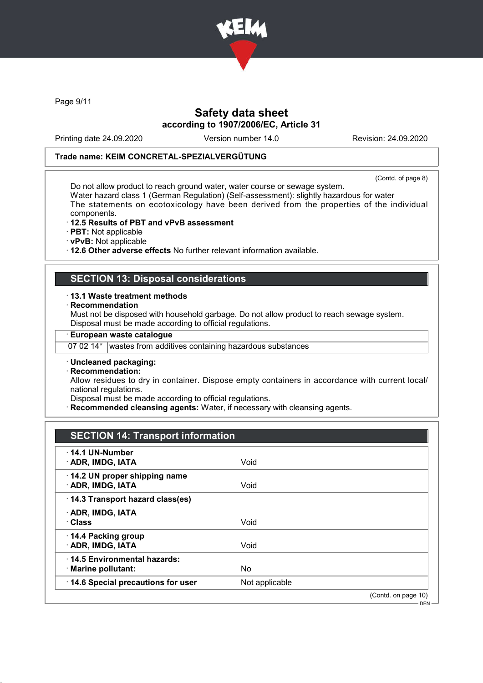

Page 9/11

# Safety data sheet according to 1907/2006/EC, Article 31

Printing date 24.09.2020 Version number 14.0 Revision: 24.09.2020

#### Trade name: KEIM CONCRETAL-SPEZIALVERGÜTUNG

(Contd. of page 8)

Do not allow product to reach ground water, water course or sewage system. Water hazard class 1 (German Regulation) (Self-assessment): slightly hazardous for water The statements on ecotoxicology have been derived from the properties of the individual components.

- · 12.5 Results of PBT and vPvB assessment
- · PBT: Not applicable
- · vPvB: Not applicable

· 12.6 Other adverse effects No further relevant information available.

# SECTION 13: Disposal considerations

#### · 13.1 Waste treatment methods

**Recommendation** 

Must not be disposed with household garbage. Do not allow product to reach sewage system. Disposal must be made according to official regulations.

#### · European waste catalogue

07 02 14\* wastes from additives containing hazardous substances

· Uncleaned packaging:

· Recommendation:

Allow residues to dry in container. Dispose empty containers in accordance with current local/ national regulations.

Disposal must be made according to official regulations.

Recommended cleansing agents: Water, if necessary with cleansing agents.

# SECTION 14: Transport information

| $\cdot$ 14.1 UN-Number<br>· ADR, IMDG, IATA        | Void           |                     |
|----------------------------------------------------|----------------|---------------------|
| 14.2 UN proper shipping name<br>· ADR, IMDG, IATA  | Void           |                     |
| 14.3 Transport hazard class(es)                    |                |                     |
| · ADR, IMDG, IATA<br>· Class                       | Void           |                     |
| 14.4 Packing group<br>· ADR, IMDG, IATA            | Void           |                     |
| 14.5 Environmental hazards:<br>· Marine pollutant: | No             |                     |
| 14.6 Special precautions for user                  | Not applicable |                     |
|                                                    |                | (Contd. on page 10) |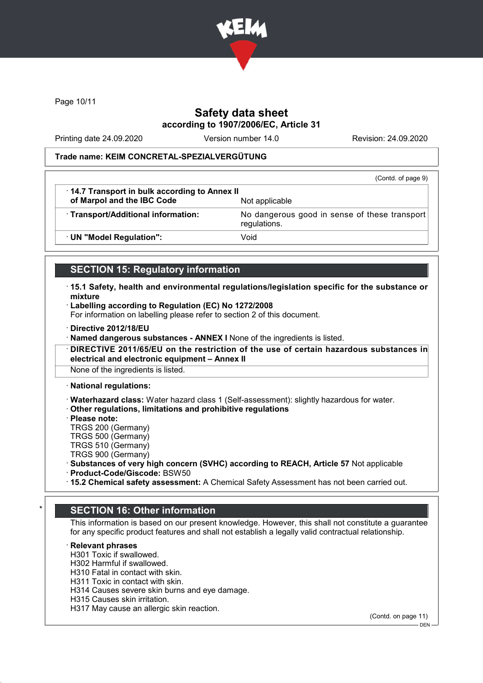

Page 10/11

# Safety data sheet according to 1907/2006/EC, Article 31

Printing date 24.09.2020 Version number 14.0 Revision: 24.09.2020

#### Trade name: KEIM CONCRETAL-SPEZIALVERGÜTUNG

|                                                                            | (Contd. of page 9)                                            |
|----------------------------------------------------------------------------|---------------------------------------------------------------|
| 14.7 Transport in bulk according to Annex II<br>of Marpol and the IBC Code | Not applicable                                                |
| · Transport/Additional information:                                        | No dangerous good in sense of these transport<br>regulations. |
| · UN "Model Regulation":                                                   | Void                                                          |

### SECTION 15: Regulatory information

- · 15.1 Safety, health and environmental regulations/legislation specific for the substance or mixture
- · Labelling according to Regulation (EC) No 1272/2008

For information on labelling please refer to section 2 of this document.

· Directive 2012/18/EU

· Named dangerous substances - ANNEX I None of the ingredients is listed.

· DIRECTIVE 2011/65/EU on the restriction of the use of certain hazardous substances in electrical and electronic equipment – Annex II

None of the ingredients is listed.

· National regulations:

· Waterhazard class: Water hazard class 1 (Self-assessment): slightly hazardous for water.

· Other regulations, limitations and prohibitive regulations

- · Please note:
- TRGS 200 (Germany)
- TRGS 500 (Germany)
- TRGS 510 (Germany)
- TRGS 900 (Germany)
- · Substances of very high concern (SVHC) according to REACH, Article 57 Not applicable
- · Product-Code/Giscode: BSW50
- · 15.2 Chemical safety assessment: A Chemical Safety Assessment has not been carried out.

# **SECTION 16: Other information**

This information is based on our present knowledge. However, this shall not constitute a guarantee for any specific product features and shall not establish a legally valid contractual relationship.

#### **Relevant phrases**

H301 Toxic if swallowed.

- H302 Harmful if swallowed.
- H310 Fatal in contact with skin.
- H311 Toxic in contact with skin.
- H314 Causes severe skin burns and eye damage.
- H315 Causes skin irritation.
- H317 May cause an allergic skin reaction.

(Contd. on page 11)